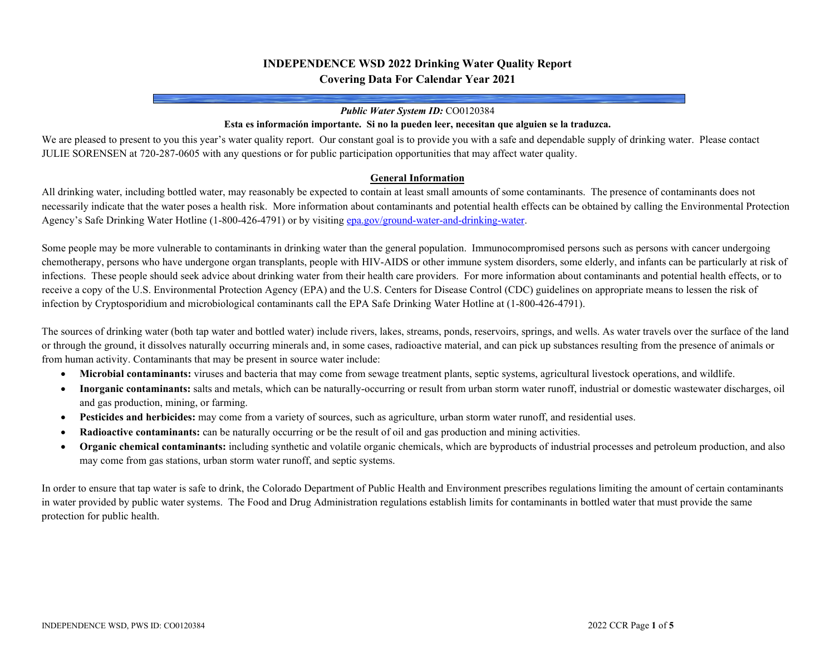# **INDEPENDENCE WSD 2022 Drinking Water Quality Report Covering Data For Calendar Year 2021**

#### *Public Water System ID:* CO0120384

#### **Esta es información importante. Si no la pueden leer, necesitan que alguien se la traduzca.**

We are pleased to present to you this year's water quality report. Our constant goal is to provide you with a safe and dependable supply of drinking water. Please contact JULIE SORENSEN at 720-287-0605 with any questions or for public participation opportunities that may affect water quality.

### **General Information**

All drinking water, including bottled water, may reasonably be expected to contain at least small amounts of some contaminants. The presence of contaminants does not necessarily indicate that the water poses a health risk. More information about contaminants and potential health effects can be obtained by calling the Environmental Protection Agency's Safe Drinking Water Hotline (1-800-426-4791) or by visitin[g epa.gov/ground-water-and-drinking-water.](https://www.epa.gov/ground-water-and-drinking-water)

Some people may be more vulnerable to contaminants in drinking water than the general population. Immunocompromised persons such as persons with cancer undergoing chemotherapy, persons who have undergone organ transplants, people with HIV-AIDS or other immune system disorders, some elderly, and infants can be particularly at risk of infections. These people should seek advice about drinking water from their health care providers. For more information about contaminants and potential health effects, or to receive a copy of the U.S. Environmental Protection Agency (EPA) and the U.S. Centers for Disease Control (CDC) guidelines on appropriate means to lessen the risk of infection by Cryptosporidium and microbiological contaminants call the EPA Safe Drinking Water Hotline at (1-800-426-4791).

The sources of drinking water (both tap water and bottled water) include rivers, lakes, streams, ponds, reservoirs, springs, and wells. As water travels over the surface of the land or through the ground, it dissolves naturally occurring minerals and, in some cases, radioactive material, and can pick up substances resulting from the presence of animals or from human activity. Contaminants that may be present in source water include:

- **Microbial contaminants:** viruses and bacteria that may come from sewage treatment plants, septic systems, agricultural livestock operations, and wildlife.
- **Inorganic contaminants:** salts and metals, which can be naturally-occurring or result from urban storm water runoff, industrial or domestic wastewater discharges, oil and gas production, mining, or farming.
- **Pesticides and herbicides:** may come from a variety of sources, such as agriculture, urban storm water runoff, and residential uses.
- **Radioactive contaminants:** can be naturally occurring or be the result of oil and gas production and mining activities.
- **Organic chemical contaminants:** including synthetic and volatile organic chemicals, which are byproducts of industrial processes and petroleum production, and also may come from gas stations, urban storm water runoff, and septic systems.

In order to ensure that tap water is safe to drink, the Colorado Department of Public Health and Environment prescribes regulations limiting the amount of certain contaminants in water provided by public water systems. The Food and Drug Administration regulations establish limits for contaminants in bottled water that must provide the same protection for public health.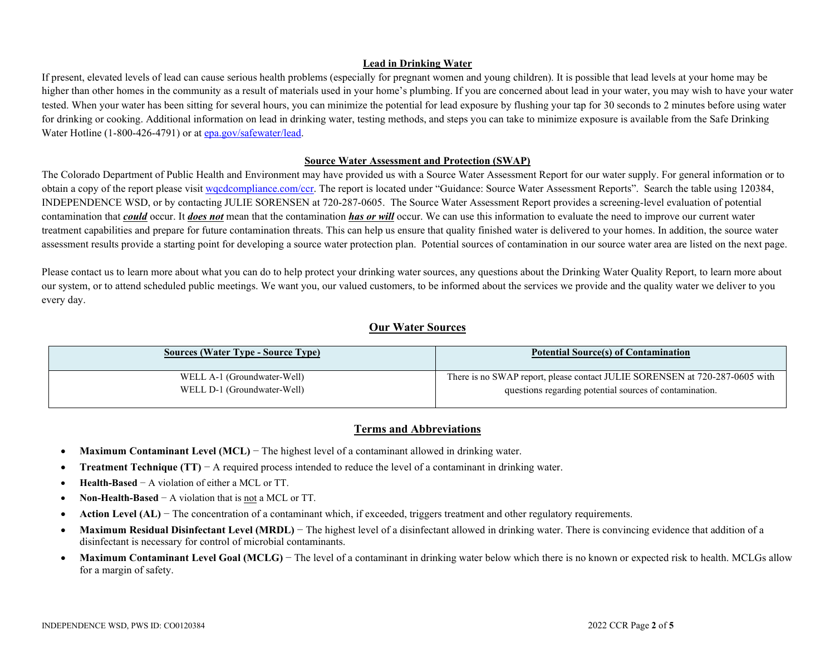### **Lead in Drinking Water**

If present, elevated levels of lead can cause serious health problems (especially for pregnant women and young children). It is possible that lead levels at your home may be higher than other homes in the community as a result of materials used in your home's plumbing. If you are concerned about lead in your water, you may wish to have your water tested. When your water has been sitting for several hours, you can minimize the potential for lead exposure by flushing your tap for 30 seconds to 2 minutes before using water for drinking or cooking. Additional information on lead in drinking water, testing methods, and steps you can take to minimize exposure is available from the Safe Drinking Water Hotline (1-800-426-4791) or a[t epa.gov/safewater/lead.](http://www.epa.gov/safewater/lead)

### **Source Water Assessment and Protection (SWAP)**

The Colorado Department of Public Health and Environment may have provided us with a Source Water Assessment Report for our water supply. For general information or to obtain a copy of the report please visit [wqcdcompliance.com/ccr.](https://wqcdcompliance.com/ccr) The report is located under "Guidance: Source Water Assessment Reports". Search the table using 120384, INDEPENDENCE WSD, or by contacting JULIE SORENSEN at 720-287-0605. The Source Water Assessment Report provides a screening-level evaluation of potential contamination that *could* occur. It *does not* mean that the contamination *has or will* occur. We can use this information to evaluate the need to improve our current water treatment capabilities and prepare for future contamination threats. This can help us ensure that quality finished water is delivered to your homes. In addition, the source water assessment results provide a starting point for developing a source water protection plan. Potential sources of contamination in our source water area are listed on the next page.

Please contact us to learn more about what you can do to help protect your drinking water sources, any questions about the Drinking Water Quality Report, to learn more about our system, or to attend scheduled public meetings. We want you, our valued customers, to be informed about the services we provide and the quality water we deliver to you every day.

## **Our Water Sources**

| <b>Sources (Water Type - Source Type)</b> | <b>Potential Source(s) of Contamination</b>                                 |
|-------------------------------------------|-----------------------------------------------------------------------------|
| WELL A-1 (Groundwater-Well)               | There is no SWAP report, please contact JULIE SORENSEN at 720-287-0605 with |
| WELL D-1 (Groundwater-Well)               | questions regarding potential sources of contamination.                     |

## **Terms and Abbreviations**

- **Maximum Contaminant Level (MCL)** − The highest level of a contaminant allowed in drinking water.
- **Treatment Technique (TT)** − A required process intended to reduce the level of a contaminant in drinking water.
- **Health-Based** − A violation of either a MCL or TT.
- **Non-Health-Based** − A violation that is not a MCL or TT.
- **Action Level (AL)** The concentration of a contaminant which, if exceeded, triggers treatment and other regulatory requirements.
- Maximum Residual Disinfectant Level (MRDL) The highest level of a disinfectant allowed in drinking water. There is convincing evidence that addition of a disinfectant is necessary for control of microbial contaminants.
- Maximum Contaminant Level Goal (MCLG) The level of a contaminant in drinking water below which there is no known or expected risk to health. MCLGs allow for a margin of safety.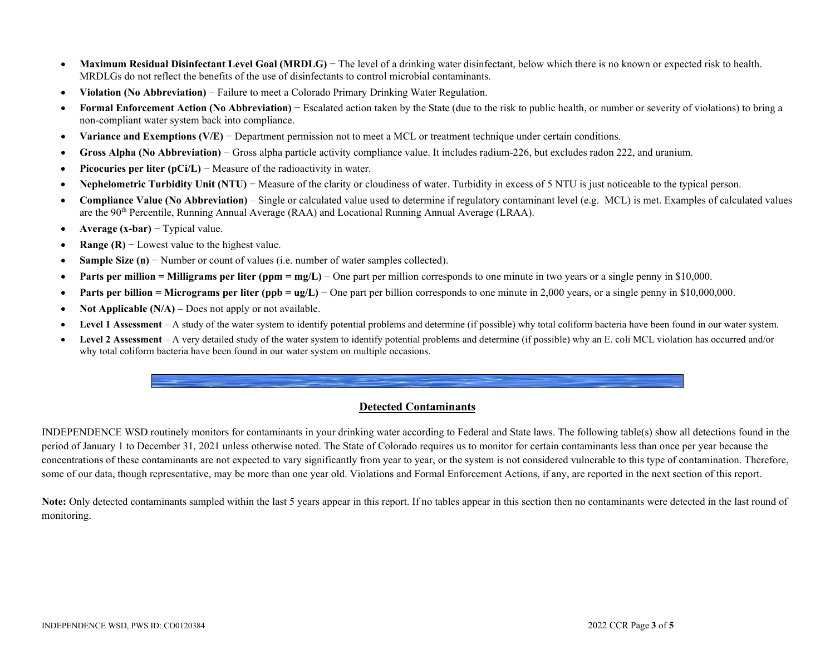- Maximum Residual Disinfectant Level Goal (MRDLG) The level of a drinking water disinfectant, below which there is no known or expected risk to health. MRDLGs do not reflect the benefits of the use of disinfectants to control microbial contaminants.
- **Violation (No Abbreviation)** − Failure to meet a Colorado Primary Drinking Water Regulation.
- **Formal Enforcement Action (No Abbreviation)** − Escalated action taken by the State (due to the risk to public health, or number or severity of violations) to bring a non-compliant water system back into compliance.
- **Variance and Exemptions (V/E)** − Department permission not to meet a MCL or treatment technique under certain conditions.
- **Gross Alpha (No Abbreviation)** − Gross alpha particle activity compliance value. It includes radium-226, but excludes radon 222, and uranium.
- **Picocuries per liter (pCi/L)** − Measure of the radioactivity in water.
- **Nephelometric Turbidity Unit (NTU)** − Measure of the clarity or cloudiness of water. Turbidity in excess of 5 NTU is just noticeable to the typical person.
- **Compliance Value (No Abbreviation)** Single or calculated value used to determine if regulatory contaminant level (e.g. MCL) is met. Examples of calculated values are the 90th Percentile, Running Annual Average (RAA) and Locational Running Annual Average (LRAA).
- **Average (x-bar)** − Typical value.
- **Range (R)** − Lowest value to the highest value.
- **Sample Size (n)** − Number or count of values (i.e. number of water samples collected).
- **Parts per million = Milligrams per liter (ppm = mg/L)** − One part per million corresponds to one minute in two years or a single penny in \$10,000.
- **• Parts per billion = Micrograms per liter (ppb = ug/L)** One part per billion corresponds to one minute in 2,000 years, or a single penny in \$10,000,000.
- **Not Applicable (N/A)** Does not apply or not available.
- **Level 1 Assessment** A study of the water system to identify potential problems and determine (if possible) why total coliform bacteria have been found in our water system.
- **Level 2 Assessment** A very detailed study of the water system to identify potential problems and determine (if possible) why an E. coli MCL violation has occurred and/or why total coliform bacteria have been found in our water system on multiple occasions.

## **Detected Contaminants**

INDEPENDENCE WSD routinely monitors for contaminants in your drinking water according to Federal and State laws. The following table(s) show all detections found in the period of January 1 to December 31, 2021 unless otherwise noted. The State of Colorado requires us to monitor for certain contaminants less than once per year because the concentrations of these contaminants are not expected to vary significantly from year to year, or the system is not considered vulnerable to this type of contamination. Therefore, some of our data, though representative, may be more than one year old. Violations and Formal Enforcement Actions, if any, are reported in the next section of this report.

Note: Only detected contaminants sampled within the last 5 years appear in this report. If no tables appear in this section then no contaminants were detected in the last round of monitoring.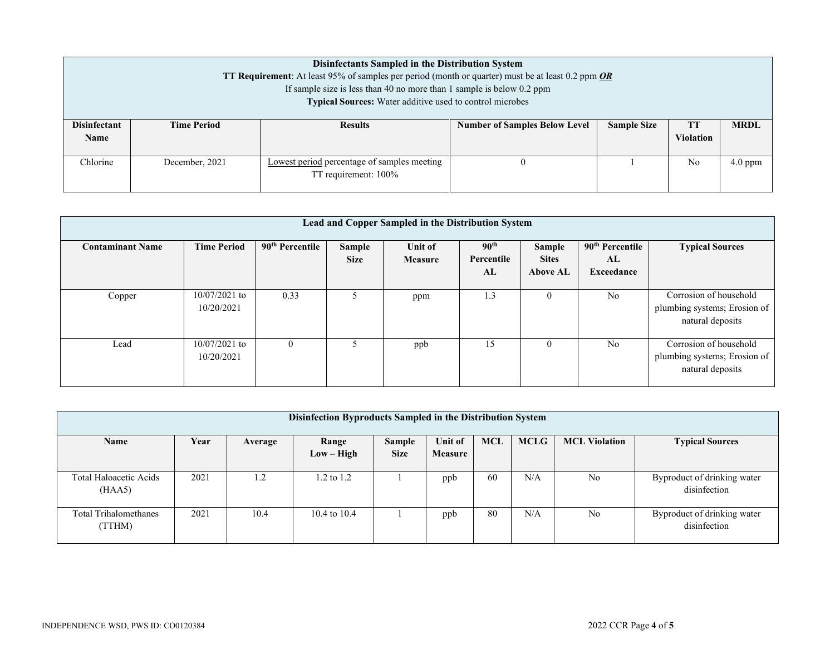|                                    | Disinfectants Sampled in the Distribution System<br><b>TT Requirement:</b> At least 95% of samples per period (month or quarter) must be at least 0.2 ppm <b>OR</b><br>If sample size is less than 40 no more than 1 sample is below $0.2$ ppm<br><b>Typical Sources:</b> Water additive used to control microbes |                                                                     |                                      |                    |                        |             |  |  |  |
|------------------------------------|-------------------------------------------------------------------------------------------------------------------------------------------------------------------------------------------------------------------------------------------------------------------------------------------------------------------|---------------------------------------------------------------------|--------------------------------------|--------------------|------------------------|-------------|--|--|--|
| <b>Disinfectant</b><br><b>Name</b> | <b>Time Period</b>                                                                                                                                                                                                                                                                                                | <b>Results</b>                                                      | <b>Number of Samples Below Level</b> | <b>Sample Size</b> | TT<br><b>Violation</b> | <b>MRDL</b> |  |  |  |
| Chlorine                           | December, 2021                                                                                                                                                                                                                                                                                                    | Lowest period percentage of samples meeting<br>TT requirement: 100% |                                      |                    | No                     | $4.0$ ppm   |  |  |  |

| Lead and Copper Sampled in the Distribution System |                               |                             |                       |                           |                                      |                                           |                                                 |                                                                            |
|----------------------------------------------------|-------------------------------|-----------------------------|-----------------------|---------------------------|--------------------------------------|-------------------------------------------|-------------------------------------------------|----------------------------------------------------------------------------|
| <b>Contaminant Name</b>                            | <b>Time Period</b>            | 90 <sup>th</sup> Percentile | Sample<br><b>Size</b> | Unit of<br><b>Measure</b> | 90 <sup>th</sup><br>Percentile<br>AL | Sample<br><b>Sites</b><br><b>Above AL</b> | 90 <sup>th</sup> Percentile<br>AL<br>Exceedance | <b>Typical Sources</b>                                                     |
| Copper                                             | $10/07/2021$ to<br>10/20/2021 | 0.33                        |                       | ppm                       | 1.3                                  | O                                         | N <sub>0</sub>                                  | Corrosion of household<br>plumbing systems; Erosion of<br>natural deposits |
| Lead                                               | $10/07/2021$ to<br>10/20/2021 | $\Omega$                    | 5.                    | ppb                       | 15                                   | $\theta$                                  | N <sub>o</sub>                                  | Corrosion of household<br>plumbing systems; Erosion of<br>natural deposits |

| Disinfection Byproducts Sampled in the Distribution System |      |                |                |                       |                           |            |             |                      |                                             |
|------------------------------------------------------------|------|----------------|----------------|-----------------------|---------------------------|------------|-------------|----------------------|---------------------------------------------|
| Name                                                       | Year | Average        | Range          | Sample<br><b>Size</b> | Unit of<br><b>Measure</b> | <b>MCL</b> | <b>MCLG</b> | <b>MCL Violation</b> | <b>Typical Sources</b>                      |
|                                                            |      |                | $Low - High$   |                       |                           |            |             |                      |                                             |
| Total Haloacetic Acids<br>(HAA5)                           | 2021 | $\overline{2}$ | 1.2 to 1.2     |                       | ppb                       | 60         | N/A         | No                   | Byproduct of drinking water<br>disinfection |
| <b>Total Trihalomethanes</b><br>(TTHM)                     | 2021 | 10.4           | 10.4 to $10.4$ |                       | ppb                       | 80         | N/A         | No                   | Byproduct of drinking water<br>disinfection |